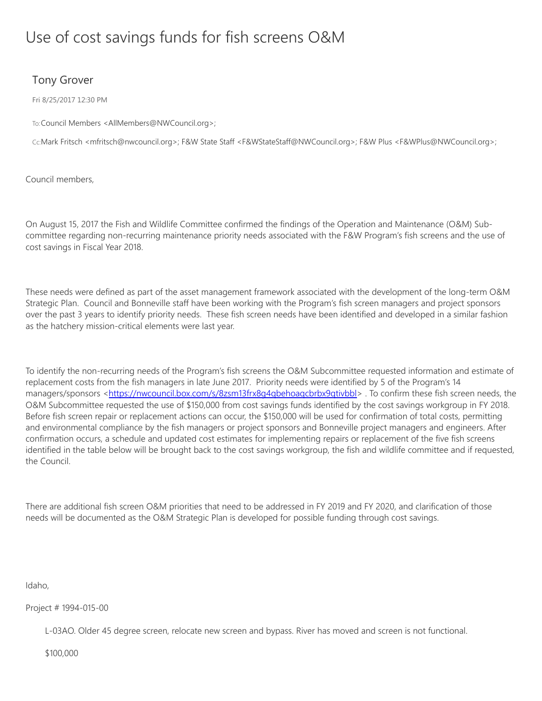# Use of cost savings funds for fish screens O&M

# Tony Grover

Fri 8/25/2017 12:30 PM

To:Council Members <AllMembers@NWCouncil.org>;

Cc:Mark Fritsch <mfritsch@nwcouncil.org>; F&W State Staff <F&WStateStaff@NWCouncil.org>; F&W Plus <F&WPlus@NWCouncil.org>;

Council members,

On August 15, 2017 the Fish and Wildlife Committee confirmed the findings of the Operation and Maintenance (O&M) Subcommittee regarding non-recurring maintenance priority needs associated with the F&W Program's fish screens and the use of cost savings in Fiscal Year 2018.

These needs were defined as part of the asset management framework associated with the development of the long-term O&M Strategic Plan. Council and Bonneville staff have been working with the Program's fish screen managers and project sponsors over the past 3 years to identify priority needs. These fish screen needs have been identified and developed in a similar fashion as the hatchery mission-critical elements were last year.

To identify the non-recurring needs of the Program's fish screens the O&M Subcommittee requested information and estimate of replacement costs from the fish managers in late June 2017. Priority needs were identified by 5 of the Program's 14 managers/sponsors <<https://nwcouncil.box.com/s/8zsm13frx8g4qbehoaqcbrbx9qtivbbl>>. To confirm these fish screen needs, the O&M Subcommittee requested the use of \$150,000 from cost savings funds identified by the cost savings workgroup in FY 2018. Before fish screen repair or replacement actions can occur, the \$150,000 will be used for confirmation of total costs, permitting and environmental compliance by the fish managers or project sponsors and Bonneville project managers and engineers. After confirmation occurs, a schedule and updated cost estimates for implementing repairs or replacement of the five fish screens identified in the table below will be brought back to the cost savings workgroup, the fish and wildlife committee and if requested, the Council.

There are additional fish screen O&M priorities that need to be addressed in FY 2019 and FY 2020, and clarification of those needs will be documented as the O&M Strategic Plan is developed for possible funding through cost savings.

Idaho,

Project # 1994-015-00

L-03AO. Older 45 degree screen, relocate new screen and bypass. River has moved and screen is not functional.

\$100,000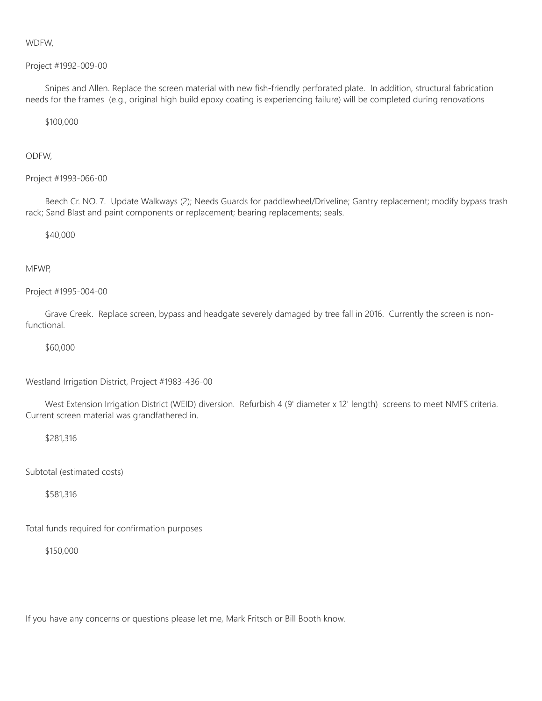# WDFW,

#### Project #1992-009-00

Snipes and Allen. Replace the screen material with new fish-friendly perforated plate. In addition, structural fabrication needs for the frames (e.g., original high build epoxy coating is experiencing failure) will be completed during renovations

#### \$100,000

# ODFW,

#### Project #1993-066-00

Beech Cr. NO. 7. Update Walkways (2); Needs Guards for paddlewheel/Driveline; Gantry replacement; modify bypass trash rack; Sand Blast and paint components or replacement; bearing replacements; seals.

#### \$40,000

# MFWP,

#### Project #1995-004-00

Grave Creek. Replace screen, bypass and headgate severely damaged by tree fall in 2016. Currently the screen is nonfunctional.

### \$60,000

Westland Irrigation District, Project #1983-436-00

West Extension Irrigation District (WEID) diversion. Refurbish 4 (9' diameter x 12' length) screens to meet NMFS criteria. Current screen material was grandfathered in.

## \$281,316

Subtotal (estimated costs)

\$581,316

Total funds required for confirmation purposes

\$150,000

If you have any concerns or questions please let me, Mark Fritsch or Bill Booth know.